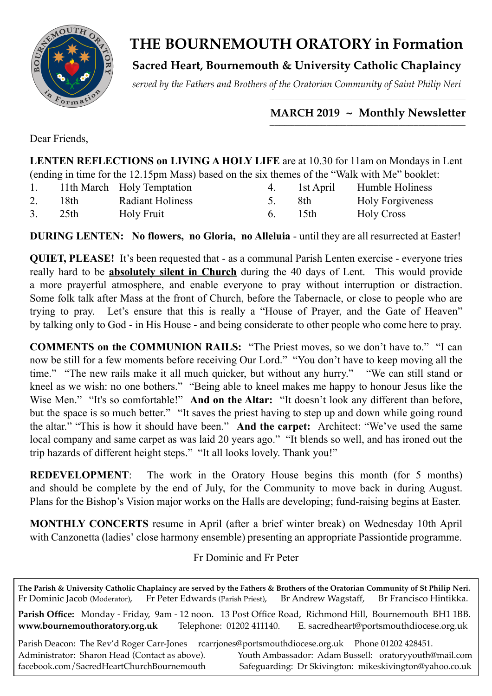

# **THE BOURNEMOUTH ORATORY in Formation**

**Sacred Heart, Bournemouth & University Catholic Chaplaincy**

*served by the Fathers and Brothers of the Oratorian Community of Saint Philip Neri*

#### *\_\_\_\_\_\_\_\_\_\_\_\_\_\_\_\_\_\_\_\_\_\_\_\_\_\_\_\_\_\_\_\_\_\_\_\_\_\_\_\_\_\_\_\_\_\_\_\_\_\_\_\_\_\_\_\_\_\_\_\_\_\_\_\_\_\_\_\_\_\_\_\_\_\_\_\_\_\_\_*  **MARCH 2019 ~ Monthly Newsletter**

Dear Friends,

| LENTEN REFLECTIONS on LIVING A HOLY LIFE are at 10.30 for 11am on Mondays in Lent            |
|----------------------------------------------------------------------------------------------|
| (ending in time for the 12.15pm Mass) based on the six themes of the "Walk with Me" booklet: |

|    |       | 11th March Holy Temptation | 1st April | Humble Holiness         |
|----|-------|----------------------------|-----------|-------------------------|
| 2. | 18th. | <b>Radiant Holiness</b>    | -8th      | <b>Holy Forgiveness</b> |
| 3. | 25th  | <b>Holy Fruit</b>          | 15th      | <b>Holy Cross</b>       |

**DURING LENTEN: No flowers, no Gloria, no Alleluia** - until they are all resurrected at Easter!

**QUIET, PLEASE!** It's been requested that - as a communal Parish Lenten exercise - everyone tries really hard to be **absolutely silent in Church** during the 40 days of Lent. This would provide a more prayerful atmosphere, and enable everyone to pray without interruption or distraction. Some folk talk after Mass at the front of Church, before the Tabernacle, or close to people who are trying to pray. Let's ensure that this is really a "House of Prayer, and the Gate of Heaven" by talking only to God - in His House - and being considerate to other people who come here to pray.

**COMMENTS on the COMMUNION RAILS:** "The Priest moves, so we don't have to." "I can now be still for a few moments before receiving Our Lord." "You don't have to keep moving all the time." "The new rails make it all much quicker, but without any hurry." "We can still stand or kneel as we wish: no one bothers." "Being able to kneel makes me happy to honour Jesus like the Wise Men." "It's so comfortable!" **And on the Altar:** "It doesn't look any different than before, but the space is so much better." "It saves the priest having to step up and down while going round the altar." "This is how it should have been." **And the carpet:** Architect: "We've used the same local company and same carpet as was laid 20 years ago." "It blends so well, and has ironed out the trip hazards of different height steps." "It all looks lovely. Thank you!"

**REDEVELOPMENT**: The work in the Oratory House begins this month (for 5 months) and should be complete by the end of July, for the Community to move back in during August. Plans for the Bishop's Vision major works on the Halls are developing; fund-raising begins at Easter.

**MONTHLY CONCERTS** resume in April (after a brief winter break) on Wednesday 10th April with Canzonetta (ladies' close harmony ensemble) presenting an appropriate Passiontide programme.

Fr Dominic and Fr Peter

**The Parish & University Catholic Chaplaincy are served by the Fathers & Brothers of the Oratorian Community of St Philip Neri.** Fr Dominic Jacob (Moderator), Fr Peter Edwards (Parish Priest), Br Andrew Wagstaff, Br Francisco Hintikka. **Parish Office:** Monday - Friday, 9am - 12 noon. 13 Post Office Road, Richmond Hill, Bournemouth BH1 1BB. **[www.bournemouthoratory.org.uk](http://www.bournemoithoratory.org.uk)** Telephone: 01202 411140. E. [sacredheart@portsmouthdiocese.org.uk](mailto:sacredheart@portsmouthdiocese.org.uk) Parish Deacon: The Rev'd Roger Carr-Jones rcarriones@portsmouthdiocese.org.uk Phone 01202 428451. Administrator: Sharon Head (Contact as above). Youth Ambassador: Adam Bussell: [oratoryyouth@mail.com](http://oratoryyouth.mail.com) [facebook.com/SacredHeartChurchBournemouth](http://facebook.com/SaccredHeartChurchBournemouth) Safeguarding: Dr Skivington: mikeskivington@yahoo.co.uk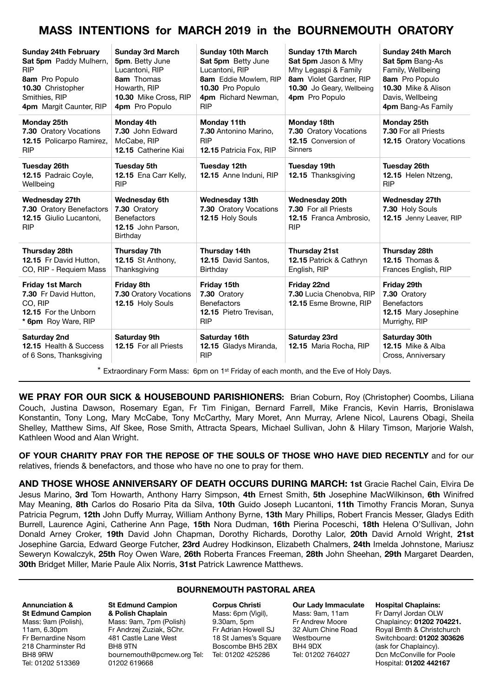## **MASS INTENTIONS for MARCH 2019 in the BOURNEMOUTH ORATORY**

| <b>Sunday 24th February</b><br>Sat 5pm Paddy Mulhern,<br><b>RIP</b><br>8am Pro Populo<br>10.30 Christopher<br>Smithies, RIP<br>4pm Margit Caunter, RIP | <b>Sunday 3rd March</b><br>5pm. Betty June<br>Lucantoni, RIP<br>8am Thomas<br>Howarth, RIP<br>10.30 Mike Cross, RIP<br>4pm Pro Populo | <b>Sunday 10th March</b><br>Sat 5pm Betty June<br>Lucantoni, RIP<br>8am Eddie Mowlem, RIP<br>10.30 Pro Populo<br>4pm Richard Newman,<br><b>RIP</b> | <b>Sunday 17th March</b><br>Sat 5pm Jason & Mhy<br>Mhy Legaspi & Family<br>8am Violet Gardner, RIP<br>10.30 Jo Geary, Wellbeing<br>4pm Pro Populo | <b>Sunday 24th March</b><br>Sat 5pm Bang-As<br>Family, Wellbeing<br>8am Pro Populo<br>10.30 Mike & Alison<br>Davis, Wellbeing<br>4pm Bang-As Family |
|--------------------------------------------------------------------------------------------------------------------------------------------------------|---------------------------------------------------------------------------------------------------------------------------------------|----------------------------------------------------------------------------------------------------------------------------------------------------|---------------------------------------------------------------------------------------------------------------------------------------------------|-----------------------------------------------------------------------------------------------------------------------------------------------------|
| Monday 25th<br>7.30 Oratory Vocations<br>12.15 Policarpo Ramirez,<br><b>RIP</b>                                                                        | Monday 4th<br>7.30 John Edward<br>McCabe, RIP<br><b>12.15</b> Catherine Kiai                                                          | Monday 11th<br>7.30 Antonino Marino,<br><b>RIP</b><br>12.15 Patricia Fox, RIP                                                                      | Monday 18th<br>7.30 Oratory Vocations<br>12.15 Conversion of<br><b>Sinners</b>                                                                    | Monday 25th<br>7.30 For all Priests<br><b>12.15</b> Oratory Vocations                                                                               |
| Tuesday 26th<br>12.15 Padraic Coyle,<br>Wellbeing                                                                                                      | <b>Tuesday 5th</b><br>12.15 Ena Carr Kelly,<br><b>RIP</b>                                                                             | Tuesday 12th<br>12.15 Anne Induni, RIP                                                                                                             | <b>Tuesday 19th</b><br>12.15 Thanksgiving                                                                                                         | <b>Tuesday 26th</b><br>12.15 Helen Ntzeng,<br><b>RIP</b>                                                                                            |
| Wednesday 27th<br>7.30 Oratory Benefactors<br>12.15 Giulio Lucantoni,<br><b>RIP</b>                                                                    | <b>Wednesday 6th</b><br>7.30 Oratory<br><b>Benefactors</b><br>12.15 John Parson.<br>Birthday                                          | Wednesday 13th<br>7.30 Oratory Vocations<br>12.15 Holy Souls                                                                                       | Wednesday 20th<br>7.30 For all Priests<br>12.15 Franca Ambrosio,<br><b>RIP</b>                                                                    | <b>Wednesday 27th</b><br>7.30 Holy Souls<br>12.15 Jenny Leaver, RIP                                                                                 |
| <b>Thursday 28th</b><br>12.15 Fr David Hutton,<br>CO, RIP - Requiem Mass                                                                               | Thursday 7th<br>12.15 St Anthony,<br>Thanksgiving                                                                                     | Thursday 14th<br>12.15 David Santos,<br>Birthday                                                                                                   | <b>Thursday 21st</b><br>12.15 Patrick & Cathryn<br>English, RIP                                                                                   | Thursday 28th<br><b>12.15 Thomas &amp;</b><br>Frances English, RIP                                                                                  |
| <b>Friday 1st March</b><br>7.30 Fr David Hutton,<br>CO. RIP<br>12.15 For the Unborn<br>* 6pm Roy Ware, RIP                                             | Friday 8th<br>7.30 Oratory Vocations<br>12.15 Holy Souls                                                                              | Friday 15th<br>7.30 Oratory<br><b>Benefactors</b><br>12.15 Pietro Trevisan,<br><b>RIP</b>                                                          | Friday 22nd<br>7.30 Lucia Chenobva, RIP<br>12.15 Esme Browne, RIP                                                                                 | Friday 29th<br>7.30 Oratory<br><b>Benefactors</b><br>12.15 Mary Josephine<br>Murrighy, RIP                                                          |
| Saturday 2nd<br><b>12.15 Health &amp; Success</b><br>of 6 Sons, Thanksgiving                                                                           | Saturday 9th<br>12.15 For all Priests                                                                                                 | Saturday 16th<br>12.15 Gladys Miranda,<br><b>RIP</b>                                                                                               | Saturday 23rd<br>12.15 Maria Rocha, RIP                                                                                                           | Saturday 30th<br><b>12.15 Mike &amp; Alba</b><br>Cross, Anniversary                                                                                 |

 $*$  Extraordinary Form Mass: 6pm on 1<sup>st</sup> Friday of each month, and the Eve of Holy Days.

**WE PRAY FOR OUR SICK & HOUSEBOUND PARISHIONERS:** Brian Coburn, Roy (Christopher) Coombs, Liliana Couch, Justina Dawson, Rosemary Egan, Fr Tim Finigan, Bernard Farrell, Mike Francis, Kevin Harris, Bronislawa Konstantin, Tony Long, Mary McCabe, Tony McCarthy, Mary Moret, Ann Murray, Arlene Nicol, Laurens Obagi, Sheila Shelley, Matthew Sims, Alf Skee, Rose Smith, Attracta Spears, Michael Sullivan, John & Hilary Timson, Marjorie Walsh, Kathleen Wood and Alan Wright.

**OF YOUR CHARITY PRAY FOR THE REPOSE OF THE SOULS OF THOSE WHO HAVE DIED RECENTLY** and for our relatives, friends & benefactors, and those who have no one to pray for them.

**AND THOSE WHOSE ANNIVERSARY OF DEATH OCCURS DURING MARCH: 1st** Gracie Rachel Cain, Elvira De Jesus Marino, **3rd** Tom Howarth, Anthony Harry Simpson, **4th** Ernest Smith, **5th** Josephine MacWilkinson, **6th** Winifred May Meaning, **8th** Carlos do Rosario Pita da Silva, **10th** Guido Joseph Lucantoni, **11th** Timothy Francis Moran, Sunya Patricia Pegrum, **12th** John Duffy Murray, William Anthony Byrne, **13th** Mary Phillips, Robert Francis Messer, Gladys Edith Burrell, Laurence Agini, Catherine Ann Page, **15th** Nora Dudman, **16th** Pierina Poceschi, **18th** Helena O'Sullivan, John Donald Arney Croker, **19th** David John Chapman, Dorothy Richards, Dorothy Lalor, **20th** David Arnold Wright, **21st** Josephine Garcia, Edward George Futcher, **23rd** Audrey Hodkinson, Elizabeth Chalmers, **24th** Imelda Johnstone, Mariusz Seweryn Kowalczyk, **25th** Roy Owen Ware, **26th** Roberta Frances Freeman, **28th** John Sheehan, **29th** Margaret Dearden, **30th** Bridget Miller, Marie Paule Alix Norris, **31st** Patrick Lawrence Matthews.

#### **BOURNEMOUTH PASTORAL AREA**

#### **Annunciation & St Edmund Campion**  Mass: 9am (Polish), 11am, 6.30pm Fr Bernardine Nsom 218 Charminster Rd BH8 9RW Tel: 01202 513369

**St Edmund Campion & Polish Chaplain** Mass: 9am, 7pm (Polish) Fr Andrzej Zuziak, SChr. 481 Castle Lane West BH8 9TN [bournemouth@pcmew.org](mailto:bournemouth@pcmew.org) Tel: Tel: 01202 425286 01202 619668

**Corpus Christi**  Mass: 6pm (Vigil), 9.30am, 5pm Fr Adrian Howell SJ 18 St James's Square Boscombe BH5 2BX

**Our Lady Immaculate**  Mass: 9am, 11am Fr Andrew Moore 32 Alum Chine Road Westbourne BH4 9DX Tel: 01202 764027

**Hospital Chaplains:** 

Fr Darryl Jordan OLW Chaplaincy: **01202 704221.** Royal Bmth & Christchurch Switchboard: **01202 303626** (ask for Chaplaincy). Dcn McConville for Poole Hospital: **01202 442167**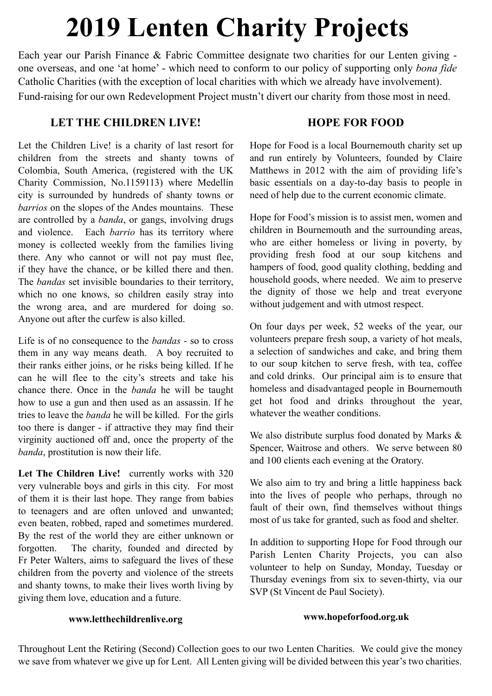# **2019 Lenten Charity Projects**

Each year our Parish Finance & Fabric Committee designate two charities for our Lenten giving one overseas, and one 'at home' - which need to conform to our policy of supporting only *bona fide*  Catholic Charities (with the exception of local charities with which we already have involvement). Fund-raising for our own Redevelopment Project mustn't divert our charity from those most in need.

#### **LET THE CHILDREN LIVE!**

Let the Children Live! is a charity of last resort for children from the streets and shanty towns of Colombia, South America, (registered with the UK Charity Commission, No.1159113) where Medellín city is surrounded by hundreds of shanty towns or *barrios* on the slopes of the Andes mountains. These are controlled by a *banda*, or gangs, involving drugs and violence. Each *barrio* has its territory where money is collected weekly from the families living there. Any who cannot or will not pay must flee, if they have the chance, or be killed there and then. The *bandas* set invisible boundaries to their territory, which no one knows, so children easily stray into the wrong area, and are murdered for doing so. Anyone out after the curfew is also killed.

Life is of no consequence to the *bandas* - so to cross them in any way means death. A boy recruited to their ranks either joins, or he risks being killed. If he can he will flee to the city's streets and take his chance there. Once in the *banda* he will be taught how to use a gun and then used as an assassin. If he tries to leave the *banda* he will be killed. For the girls too there is danger - if attractive they may find their virginity auctioned off and, once the property of the *banda*, prostitution is now their life.

Let The Children Live! currently works with 320 very vulnerable boys and girls in this city. For most of them it is their last hope. They range from babies to teenagers and are often unloved and unwanted; even beaten, robbed, raped and sometimes murdered. By the rest of the world they are either unknown or forgotten. The charity, founded and directed by Fr Peter Walters, aims to safeguard the lives of these children from the poverty and violence of the streets and shanty towns, to make their lives worth living by giving them love, education and a future.

#### **HOPE FOR FOOD**

Hope for Food is a local Bournemouth charity set up and run entirely by Volunteers, founded by Claire Matthews in 2012 with the aim of providing life's basic essentials on a day-to-day basis to people in need of help due to the current economic climate.

Hope for Food's mission is to assist men, women and children in Bournemouth and the surrounding areas, who are either homeless or living in poverty, by providing fresh food at our soup kitchens and hampers of food, good quality clothing, bedding and household goods, where needed. We aim to preserve the dignity of those we help and treat everyone without judgement and with utmost respect.

On four days per week, 52 weeks of the year, our volunteers prepare fresh soup, a variety of hot meals, a selection of sandwiches and cake, and bring them to our soup kitchen to serve fresh, with tea, coffee and cold drinks. Our principal aim is to ensure that homeless and disadvantaged people in Bournemouth get hot food and drinks throughout the year, whatever the weather conditions.

We also distribute surplus food donated by Marks  $\&$ Spencer, Waitrose and others. We serve between 80 and 100 clients each evening at the Oratory.

We also aim to try and bring a little happiness back into the lives of people who perhaps, through no fault of their own, find themselves without things most of us take for granted, such as food and shelter.

In addition to supporting Hope for Food through our Parish Lenten Charity Projects, you can also volunteer to help on Sunday, Monday, Tuesday or Thursday evenings from six to seven-thirty, via our SVP (St Vincent de Paul Society).

#### **www.letthechildrenlive.org**

#### **www.hopeforfood.org.uk**

Throughout Lent the Retiring (Second) Collection goes to our two Lenten Charities. We could give the money we save from whatever we give up for Lent. All Lenten giving will be divided between this year's two charities.